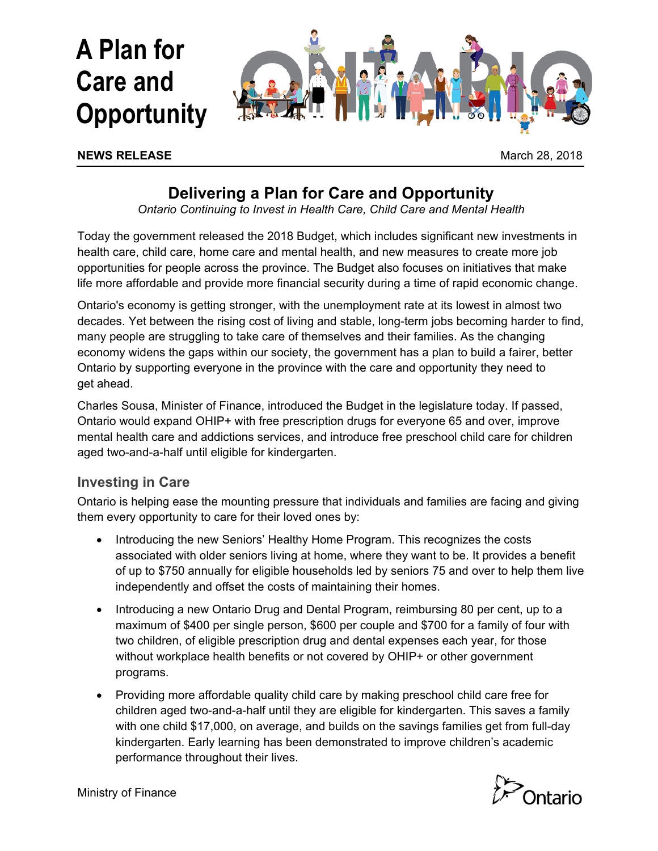

#### **NEWS RELEASE March 28, 2018**

# **Delivering a Plan for Care and Opportunity**

*Ontario Continuing to Invest in Health Care, Child Care and Mental Health*

Today the government released the 2018 Budget, which includes significant new investments in health care, child care, home care and mental health, and new measures to create more job opportunities for people across the province. The Budget also focuses on initiatives that make life more affordable and provide more financial security during a time of rapid economic change.

Ontario's economy is getting stronger, with the unemployment rate at its lowest in almost two decades. Yet between the rising cost of living and stable, long-term jobs becoming harder to find, many people are struggling to take care of themselves and their families. As the changing economy widens the gaps within our society, the government has a plan to build a fairer, better Ontario by supporting everyone in the province with the care and opportunity they need to get ahead.

Charles Sousa, Minister of Finance, introduced the Budget in the legislature today. If passed, Ontario would expand OHIP+ with free prescription drugs for everyone 65 and over, improve mental health care and addictions services, and introduce free preschool child care for children aged two-and-a-half until eligible for kindergarten.

## **Investing in Care**

Ontario is helping ease the mounting pressure that individuals and families are facing and giving them every opportunity to care for their loved ones by:

- Introducing the new Seniors' Healthy Home Program. This recognizes the costs associated with older seniors living at home, where they want to be. It provides a benefit of up to \$750 annually for eligible households led by seniors 75 and over to help them live independently and offset the costs of maintaining their homes.
- Introducing a new Ontario Drug and Dental Program, reimbursing 80 per cent, up to a maximum of \$400 per single person, \$600 per couple and \$700 for a family of four with two children, of eligible prescription drug and dental expenses each year, for those without workplace health benefits or not covered by OHIP+ or other government programs.
- Providing more affordable quality child care by making preschool child care free for children aged two-and-a-half until they are eligible for kindergarten. This saves a family with one child \$17,000, on average, and builds on the savings families get from full-day kindergarten. Early learning has been demonstrated to improve children's academic performance throughout their lives.

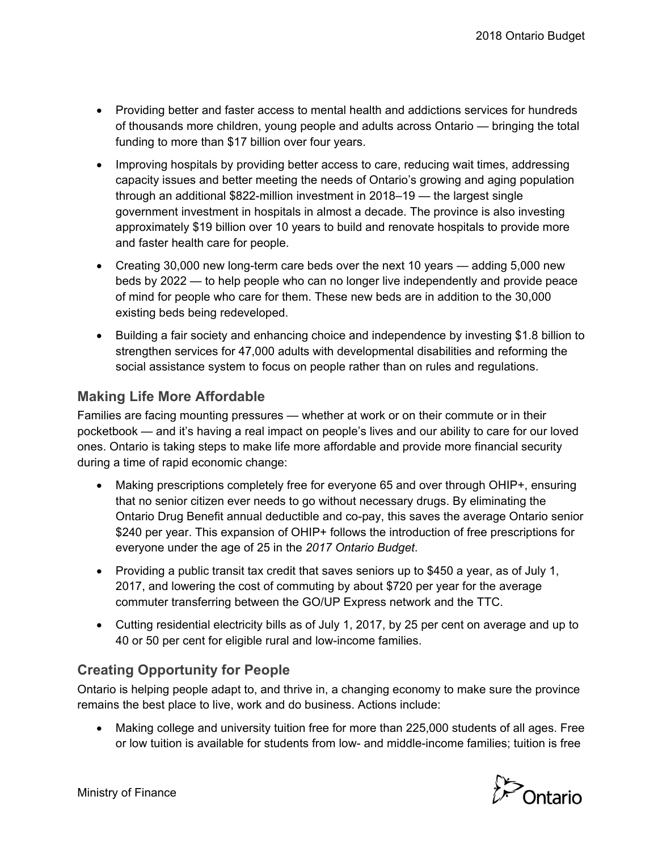- Providing better and faster access to mental health and addictions services for hundreds of thousands more children, young people and adults across Ontario — bringing the total funding to more than \$17 billion over four years.
- Improving hospitals by providing better access to care, reducing wait times, addressing capacity issues and better meeting the needs of Ontario's growing and aging population through an additional \$822-million investment in 2018–19 — the largest single government investment in hospitals in almost a decade. The province is also investing approximately \$19 billion over 10 years to build and renovate hospitals to provide more and faster health care for people.
- Creating 30,000 new long-term care beds over the next 10 years adding 5,000 new beds by 2022 — to help people who can no longer live independently and provide peace of mind for people who care for them. These new beds are in addition to the 30,000 existing beds being redeveloped.
- Building a fair society and enhancing choice and independence by investing \$1.8 billion to strengthen services for 47,000 adults with developmental disabilities and reforming the social assistance system to focus on people rather than on rules and regulations.

# **Making Life More Affordable**

Families are facing mounting pressures — whether at work or on their commute or in their pocketbook — and it's having a real impact on people's lives and our ability to care for our loved ones. Ontario is taking steps to make life more affordable and provide more financial security during a time of rapid economic change:

- Making prescriptions completely free for everyone 65 and over through OHIP+, ensuring that no senior citizen ever needs to go without necessary drugs. By eliminating the Ontario Drug Benefit annual deductible and co-pay, this saves the average Ontario senior \$240 per year. This expansion of OHIP+ follows the introduction of free prescriptions for everyone under the age of 25 in the *2017 Ontario Budget*.
- Providing a public transit tax credit that saves seniors up to \$450 a year, as of July 1, 2017, and lowering the cost of commuting by about \$720 per year for the average commuter transferring between the GO/UP Express network and the TTC.
- Cutting residential electricity bills as of July 1, 2017, by 25 per cent on average and up to 40 or 50 per cent for eligible rural and low-income families.

# **Creating Opportunity for People**

Ontario is helping people adapt to, and thrive in, a changing economy to make sure the province remains the best place to live, work and do business. Actions include:

 Making college and university tuition free for more than 225,000 students of all ages. Free or low tuition is available for students from low- and middle-income families; tuition is free



Ministry of Finance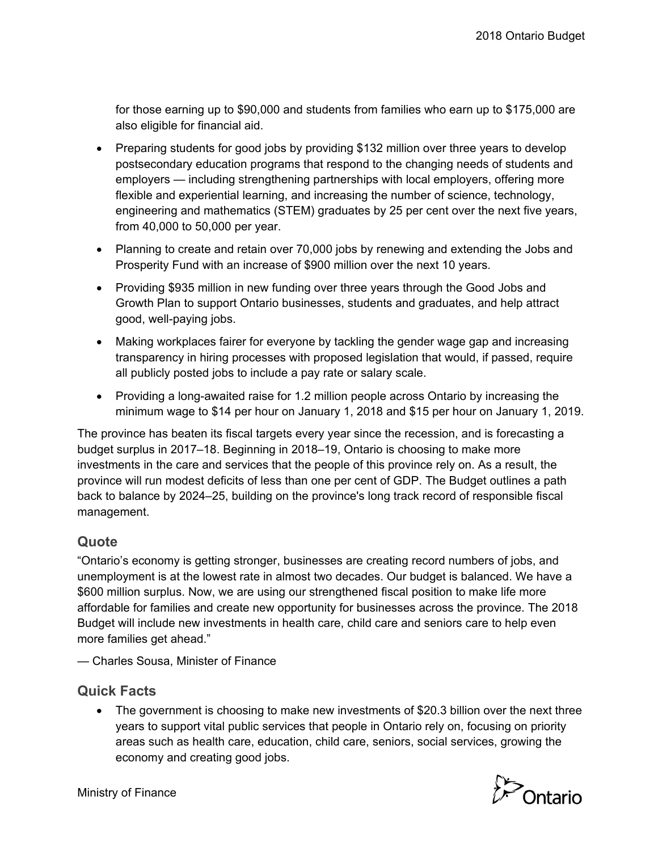for those earning up to \$90,000 and students from families who earn up to \$175,000 are also eligible for financial aid.

- Preparing students for good jobs by providing \$132 million over three years to develop postsecondary education programs that respond to the changing needs of students and employers — including strengthening partnerships with local employers, offering more flexible and experiential learning, and increasing the number of science, technology, engineering and mathematics (STEM) graduates by 25 per cent over the next five years, from 40,000 to 50,000 per year.
- Planning to create and retain over 70,000 jobs by renewing and extending the Jobs and Prosperity Fund with an increase of \$900 million over the next 10 years.
- Providing \$935 million in new funding over three years through the Good Jobs and Growth Plan to support Ontario businesses, students and graduates, and help attract good, well-paying jobs.
- Making workplaces fairer for everyone by tackling the gender wage gap and increasing transparency in hiring processes with proposed legislation that would, if passed, require all publicly posted jobs to include a pay rate or salary scale.
- Providing a long-awaited raise for 1.2 million people across Ontario by increasing the minimum wage to \$14 per hour on January 1, 2018 and \$15 per hour on January 1, 2019.

The province has beaten its fiscal targets every year since the recession, and is forecasting a budget surplus in 2017–18. Beginning in 2018–19, Ontario is choosing to make more investments in the care and services that the people of this province rely on. As a result, the province will run modest deficits of less than one per cent of GDP. The Budget outlines a path back to balance by 2024–25, building on the province's long track record of responsible fiscal management.

## **Quote**

"Ontario's economy is getting stronger, businesses are creating record numbers of jobs, and unemployment is at the lowest rate in almost two decades. Our budget is balanced. We have a \$600 million surplus. Now, we are using our strengthened fiscal position to make life more affordable for families and create new opportunity for businesses across the province. The 2018 Budget will include new investments in health care, child care and seniors care to help even more families get ahead."

— Charles Sousa, Minister of Finance

## **Quick Facts**

 The government is choosing to make new investments of \$20.3 billion over the next three years to support vital public services that people in Ontario rely on, focusing on priority areas such as health care, education, child care, seniors, social services, growing the economy and creating good jobs.



Ministry of Finance